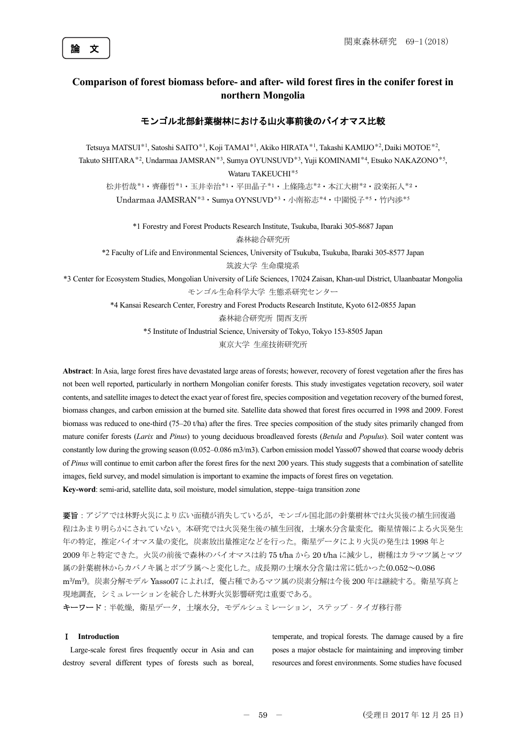

# **Comparison of forest biomass before- and after- wild forest fires in the conifer forest in northern Mongolia**

## モンゴル北部針葉樹林における山火事前後のバイオマス比較

Tetsuya MATSUI<sup>\*1</sup>, Satoshi SAITO<sup>\*1</sup>, Koji TAMAI<sup>\*1</sup>, Akiko HIRATA<sup>\*1</sup>, Takashi KAMIJO<sup>\*2</sup>, Daiki MOTOE<sup>\*2</sup>, Takuto SHITARA\*<sup>2</sup>, Undarmaa JAMSRAN<sup>\*3</sup>, Sumya OYUNSUVD<sup>\*3</sup>, Yuji KOMINAMI<sup>\*4</sup>, Etsuko NAKAZONO<sup>\*5</sup>, Wataru TAKEUCHI<sup>\*5</sup> 松井哲哉\*1・齊藤哲\*1・玉井幸治\*1・平田晶子\*1・上條隆志\*2・本江大樹\*2・設楽拓人\*2・ Undarmaa JAMSRAN\*3・Sumya OYNSUVD\*3・小南裕志\*4・中園悦子\*5・竹内渉\*5

> \*1 Forestry and Forest Products Research Institute, Tsukuba, Ibaraki 305-8687 Japan 森林総合研究所

\*2 Faculty of Life and Environmental Sciences, University of Tsukuba, Tsukuba, Ibaraki 305-8577 Japan 筑波大学 生命環境系

\*3 Center for Ecosystem Studies, Mongolian University of Life Sciences, 17024 Zaisan, Khan-uul District, Ulaanbaatar Mongolia

モンゴル生命科学大学 生態系研究センター

\*4 Kansai Research Center, Forestry and Forest Products Research Institute, Kyoto 612-0855 Japan 森林総合研究所 関西支所

\*5 Institute of Industrial Science, University of Tokyo, Tokyo 153-8505 Japan

東京大学 生産技術研究所

**Abstract**: In Asia, large forest fires have devastated large areas of forests; however, recovery of forest vegetation after the fires has not been well reported, particularly in northern Mongolian conifer forests. This study investigates vegetation recovery, soil water contents, and satellite images to detect the exact year of forest fire, species composition and vegetation recovery of the burned forest, biomass changes, and carbon emission at the burned site. Satellite data showed that forest fires occurred in 1998 and 2009. Forest biomass was reduced to one-third (75–20 t/ha) after the fires. Tree species composition of the study sites primarily changed from mature conifer forests (*Larix* and *Pinus*) to young deciduous broadleaved forests (*Betula* and *Populus*). Soil water content was constantly low during the growing season (0.052–0.086 m3/m3). Carbon emission model Yasso07 showed that coarse woody debris of *Pinus* will continue to emit carbon after the forest fires for the next 200 years. This study suggests that a combination of satellite images, field survey, and model simulation is important to examine the impacts of forest fires on vegetation. **Key-word**: semi-arid, satellite data, soil moisture, model simulation, steppe–taiga transition zone

要旨:アジアでは林野火災により広い面積が消失しているが,モンゴル国北部の針葉樹林では火災後の植生回復過 程はあまり明らかにされていない。本研究では火災発生後の植生回復,土壌水分含量変化,衛星情報による火災発生 年の特定,推定バイオマス量の変化,炭素放出量推定などを行った。衛星データにより火災の発生は 1998 年と 2009 年と特定できた。火災の前後で森林のバイオマスは約 75 t/ha から 20 t/ha に減少し、樹種はカラマツ属とマツ 属の針葉樹林からカバノキ属とポプラ属へと変化した。成長期の土壌水分含量は常に低かった(0.052~0.086 m<sup>3</sup>/m<sup>3</sup>)。炭素分解モデル Yasso07 によれば,優占種であるマツ属の炭素分解は今後 200 年は継続する。衛星写真と 現地調査,シミュレーションを統合した林野火災影響研究は重要である。

キーワード:半乾燥,衛星データ,土壌水分,モデルシュミレーション,ステップ - タイガ移行帯

## Ⅰ **Introduction**

Large-scale forest fires frequently occur in Asia and can destroy several different types of forests such as boreal, temperate, and tropical forests. The damage caused by a fire poses a major obstacle for maintaining and improving timber resources and forest environments. Some studies have focused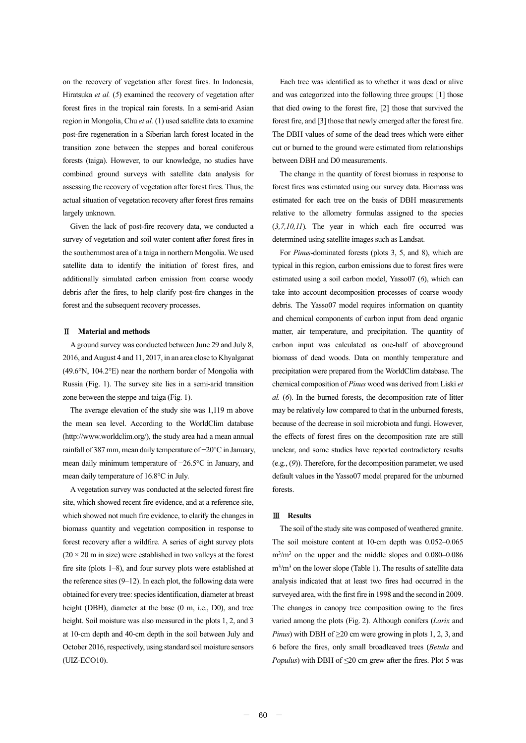on the recovery of vegetation after forest fires. In Indonesia, Hiratsuka *et al.* (*5*) examined the recovery of vegetation after forest fires in the tropical rain forests. In a semi-arid Asian region in Mongolia, Chu *et al.* (1) used satellite data to examine post-fire regeneration in a Siberian larch forest located in the transition zone between the steppes and boreal coniferous forests (taiga). However, to our knowledge, no studies have combined ground surveys with satellite data analysis for assessing the recovery of vegetation after forest fires. Thus, the actual situation of vegetation recovery after forest fires remains largely unknown.

Given the lack of post-fire recovery data, we conducted a survey of vegetation and soil water content after forest fires in the southernmost area of a taiga in northern Mongolia. We used satellite data to identify the initiation of forest fires, and additionally simulated carbon emission from coarse woody debris after the fires, to help clarify post-fire changes in the forest and the subsequent recovery processes.

### Ⅱ **Material and methods**

A ground survey was conducted between June 29 and July 8, 2016, and August 4 and 11, 2017, in an area close to Khyalganat (49.6°N, 104.2°E) near the northern border of Mongolia with Russia (Fig. 1). The survey site lies in a semi-arid transition zone between the steppe and taiga (Fig. 1).

The average elevation of the study site was 1,119 m above the mean sea level. According to the WorldClim database (http://www.worldclim.org/), the study area had a mean annual rainfall of 387 mm, mean daily temperature of −20°C in January, mean daily minimum temperature of −26.5°C in January, and mean daily temperature of 16.8°C in July.

A vegetation survey was conducted at the selected forest fire site, which showed recent fire evidence, and at a reference site, which showed not much fire evidence, to clarify the changes in biomass quantity and vegetation composition in response to forest recovery after a wildfire. A series of eight survey plots  $(20 \times 20 \text{ m})$  in size) were established in two valleys at the forest fire site (plots 1–8), and four survey plots were established at the reference sites  $(9-12)$ . In each plot, the following data were obtained for every tree: species identification, diameter at breast height (DBH), diameter at the base (0 m, i.e., D0), and tree height. Soil moisture was also measured in the plots 1, 2, and 3 at 10-cm depth and 40-cm depth in the soil between July and October 2016, respectively, using standard soil moisture sensors (UIZ-ECO10).

Each tree was identified as to whether it was dead or alive and was categorized into the following three groups: [1] those that died owing to the forest fire, [2] those that survived the forest fire, and [3] those that newly emerged after the forest fire. The DBH values of some of the dead trees which were either cut or burned to the ground were estimated from relationships between DBH and D0 measurements.

The change in the quantity of forest biomass in response to forest fires was estimated using our survey data. Biomass was estimated for each tree on the basis of DBH measurements relative to the allometry formulas assigned to the species (*3,7,10,11*)*.* The year in which each fire occurred was determined using satellite images such as Landsat.

For *Pinus*-dominated forests (plots 3, 5, and 8), which are typical in this region, carbon emissions due to forest fires were estimated using a soil carbon model, Yasso07 (*6*), which can take into account decomposition processes of coarse woody debris. The Yasso07 model requires information on quantity and chemical components of carbon input from dead organic matter, air temperature, and precipitation. The quantity of carbon input was calculated as one-half of aboveground biomass of dead woods. Data on monthly temperature and precipitation were prepared from the WorldClim database. The chemical composition of *Pinus* wood was derived from Liski *et al.* (*6*). In the burned forests, the decomposition rate of litter may be relatively low compared to that in the unburned forests, because of the decrease in soil microbiota and fungi. However, the effects of forest fires on the decomposition rate are still unclear, and some studies have reported contradictory results (e.g., (*9*)). Therefore, for the decomposition parameter, we used default values in the Yasso07 model prepared for the unburned forests.

### Ⅲ **Results**

The soil of the study site was composed of weathered granite. The soil moisture content at 10-cm depth was 0.052–0.065 m<sup>3</sup>/m<sup>3</sup> on the upper and the middle slopes and 0.080–0.086 m<sup>3</sup>/m<sup>3</sup> on the lower slope (Table 1). The results of satellite data analysis indicated that at least two fires had occurred in the surveyed area, with the first fire in 1998 and the second in 2009. The changes in canopy tree composition owing to the fires varied among the plots (Fig. 2). Although conifers (*Larix* and *Pinus*) with DBH of ≥20 cm were growing in plots 1, 2, 3, and 6 before the fires, only small broadleaved trees (*Betula* and *Populus*) with DBH of ≤20 cm grew after the fires. Plot 5 was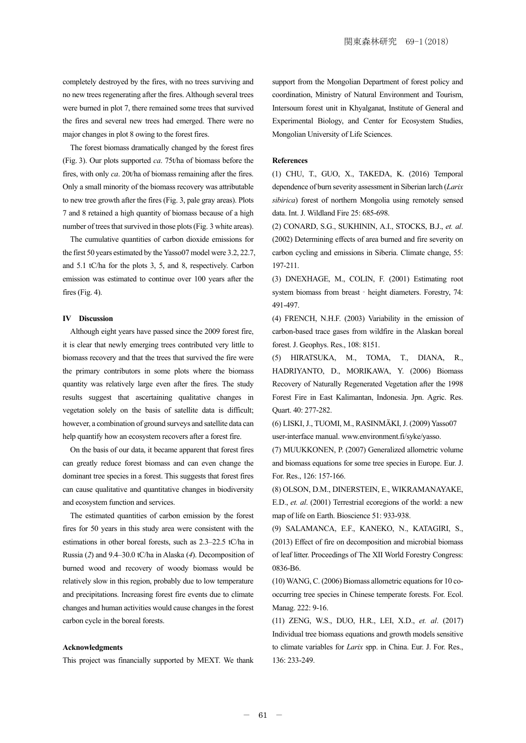completely destroyed by the fires, with no trees surviving and no new trees regenerating after the fires. Although several trees were burned in plot 7, there remained some trees that survived the fires and several new trees had emerged. There were no major changes in plot 8 owing to the forest fires.

The forest biomass dramatically changed by the forest fires (Fig. 3). Our plots supported *ca*. 75t/ha of biomass before the fires, with only *ca*. 20t/ha of biomass remaining after the fires. Only a small minority of the biomass recovery was attributable to new tree growth after the fires (Fig. 3, pale gray areas). Plots 7 and 8 retained a high quantity of biomass because of a high number of trees that survived in those plots (Fig. 3 white areas).

The cumulative quantities of carbon dioxide emissions for the first 50 years estimated by the Yasso07 model were 3.2, 22.7, and 5.1 tC/ha for the plots 3, 5, and 8, respectively. Carbon emission was estimated to continue over 100 years after the fires (Fig. 4).

#### **IV Discussion**

Although eight years have passed since the 2009 forest fire, it is clear that newly emerging trees contributed very little to biomass recovery and that the trees that survived the fire were the primary contributors in some plots where the biomass quantity was relatively large even after the fires. The study results suggest that ascertaining qualitative changes in vegetation solely on the basis of satellite data is difficult; however, a combination of ground surveys and satellite data can help quantify how an ecosystem recovers after a forest fire.

On the basis of our data, it became apparent that forest fires can greatly reduce forest biomass and can even change the dominant tree species in a forest. This suggests that forest fires can cause qualitative and quantitative changes in biodiversity and ecosystem function and services.

The estimated quantities of carbon emission by the forest fires for 50 years in this study area were consistent with the estimations in other boreal forests, such as 2.3–22.5 tC/ha in Russia (*2*) and 9.4–30.0 tC/ha in Alaska (*4*). Decomposition of burned wood and recovery of woody biomass would be relatively slow in this region, probably due to low temperature and precipitations. Increasing forest fire events due to climate changes and human activities would cause changes in the forest carbon cycle in the boreal forests.

#### **Acknowledgments**

This project was financially supported by MEXT. We thank

support from the Mongolian Department of forest policy and coordination, Ministry of Natural Environment and Tourism, Intersoum forest unit in Khyalganat, Institute of General and Experimental Biology, and Center for Ecosystem Studies, Mongolian University of Life Sciences.

#### **References**

(1) CHU, T., GUO, X., TAKEDA, K. (2016) Temporal dependence of burn severity assessment in Siberian larch (*Larix sibirica*) forest of northern Mongolia using remotely sensed data. Int. J. Wildland Fire 25: 685-698.

(2) CONARD, S.G., SUKHININ, A.I., STOCKS, B.J., *et. al*. (2002) Determining effects of area burned and fire severity on carbon cycling and emissions in Siberia. Climate change, 55: 197-211.

(3) DNEXHAGE, M., COLIN, F. (2001) Estimating root system biomass from breast - height diameters. Forestry, 74: 491-497.

(4) FRENCH, N.H.F. (2003) Variability in the emission of carbon-based trace gases from wildfire in the Alaskan boreal forest. J. Geophys. Res., 108: 8151.

(5) HIRATSUKA, M., TOMA, T., DIANA, R., HADRIYANTO, D., MORIKAWA, Y. (2006) Biomass Recovery of Naturally Regenerated Vegetation after the 1998 Forest Fire in East Kalimantan, Indonesia. Jpn. Agric. Res. Quart. 40: 277-282.

(6) LISKI, J., TUOMI, M., RASINMÄKI, J. (2009) Yasso07 user-interface manual. www.environment.fi/syke/yasso.

(7) MUUKKONEN, P. (2007) Generalized allometric volume and biomass equations for some tree species in Europe. Eur. J. For. Res., 126: 157-166.

(8) OLSON, D.M., DINERSTEIN, E., WIKRAMANAYAKE, E.D., *et. al*. (2001) Terrestrial ecoregions of the world: a new map of life on Earth. Bioscience 51: 933-938.

(9) SALAMANCA, E.F., KANEKO, N., KATAGIRI, S., (2013) Effect of fire on decomposition and microbial biomass of leaf litter. Proceedings of The XII World Forestry Congress: 0836-B6.

(10) WANG, C. (2006) Biomass allometric equations for 10 cooccurring tree species in Chinese temperate forests. For. Ecol. Manag. 222: 9-16.

(11) ZENG, W.S., DUO, H.R., LEI, X.D., *et. al*. (2017) Individual tree biomass equations and growth models sensitive to climate variables for *Larix* spp. in China. Eur. J. For. Res., 136: 233-249.